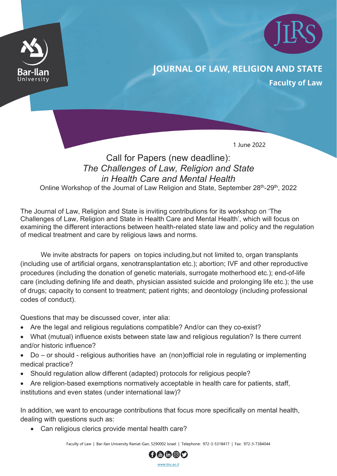



## **JOURNAL OF LAW, RELIGION AND STATE**

**Faculty of Law** 

1 June 2022

## Call for Papers (new deadline): *The Challenges of Law, Religion and State in Health Care and Mental Health*

Online Workshop of the Journal of Law Religion and State, September 28<sup>th</sup>-29<sup>th</sup>, 2022

The Journal of Law, Religion and State is inviting contributions for its workshop on 'The Challenges of Law, Religion and State in Health Care and Mental Health', which will focus on examining the different interactions between health-related state law and policy and the regulation of medical treatment and care by religious laws and norms.

We invite abstracts for papers on topics including, but not limited to, organ transplants (including use of artificial organs, xenotransplantation etc.); abortion; IVF and other reproductive procedures (including the donation of genetic materials, surrogate motherhood etc.); end-of-life care (including defining life and death, physician assisted suicide and prolonging life etc.); the use of drugs; capacity to consent to treatment; patient rights; and deontology (including professional codes of conduct).

Questions that may be discussed cover, inter alia:

- Are the legal and religious regulations compatible? And/or can they co-exist?
- What (mutual) influence exists between state law and religious regulation? Is there current and/or historic influence?
- Do or should religious authorities have an (non) official role in regulating or implementing medical practice?
- Should regulation allow different (adapted) protocols for religious people?
- Are religion-based exemptions normatively acceptable in health care for patients, staff, institutions and even states (under international law)?

In addition, we want to encourage contributions that focus more specifically on mental health, dealing with questions such as:

• Can religious clerics provide mental health care?

Faculty of Law | Bar-Ilan University Ramat-Gan, 5290002 Israel | Telephone: 972-3-5318417 | Fax: 972-3-7384044

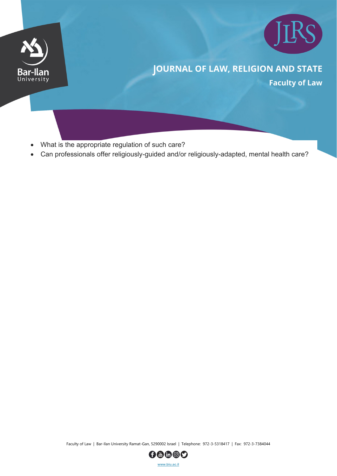



## **JOURNAL OF LAW, RELIGION AND STATE**

**Faculty of Law** 

- What is the appropriate regulation of such care?
- Can professionals offer religiously-guided and/or religiously-adapted, mental health care?

Faculty of Law | Bar-Ilan University Ramat-Gan, 5290002 Israel | Telephone: 972-3-5318417 | Fax: 972-3-7384044